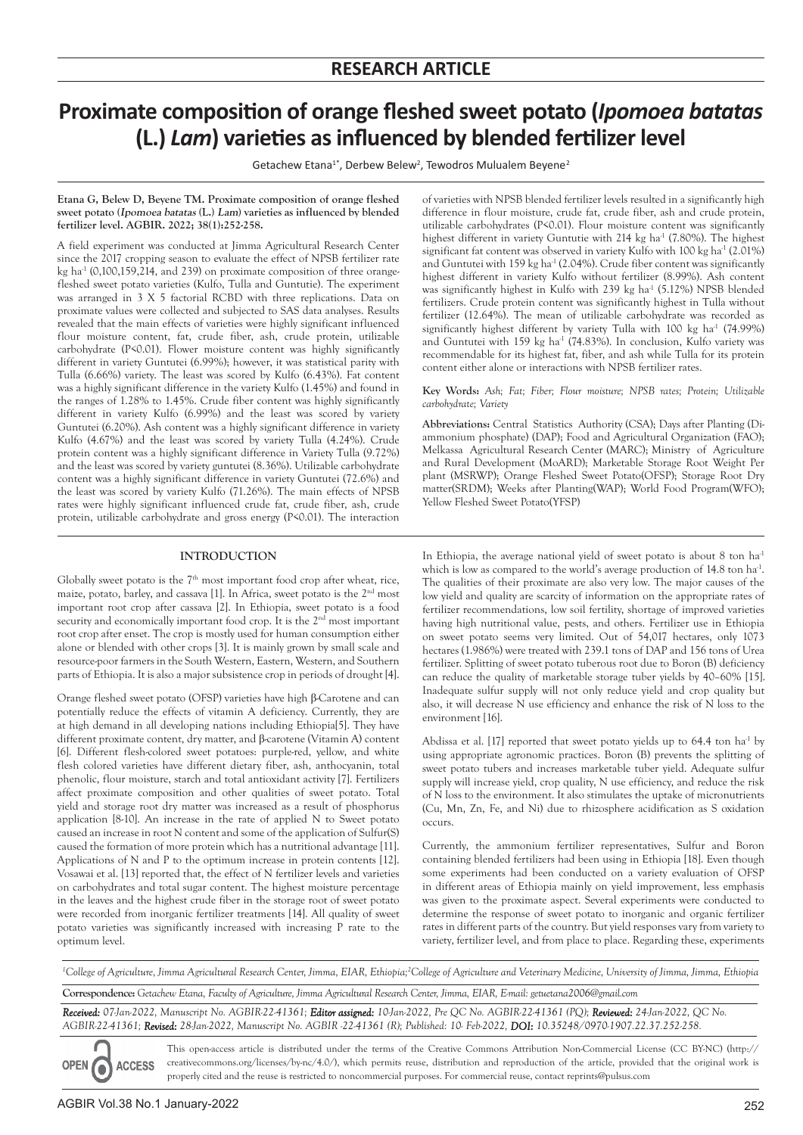# **Proximate composition of orange fleshed sweet potato (***Ipomoea batatas*  **(L.)** *Lam***) varieties as influenced by blended fertilizer level**

Getachew Etana<sup>1\*</sup>, Derbew Belew<sup>2</sup>, Tewodros Mulualem Beyene<sup>2</sup>

**Etana G, Belew D, Beyene TM. Proximate composition of orange fleshed sweet potato (**Ipomoea batatas **(L.)** Lam**) varieties as influenced by blended fertilizer level. AGBIR. 2022; 38(1):252-258.**

A field experiment was conducted at Jimma Agricultural Research Center since the 2017 cropping season to evaluate the effect of NPSB fertilizer rate kg ha $^{-1}$  (0,100,159,214, and 239) on proximate composition of three orangefleshed sweet potato varieties (Kulfo, Tulla and Guntutie). The experiment was arranged in 3 X 5 factorial RCBD with three replications. Data on proximate values were collected and subjected to SAS data analyses. Results revealed that the main effects of varieties were highly significant influenced flour moisture content, fat, crude fiber, ash, crude protein, utilizable carbohydrate (P<0.01). Flower moisture content was highly significantly different in variety Guntutei (6.99%); however, it was statistical parity with Tulla (6.66%) variety. The least was scored by Kulfo (6.43%). Fat content was a highly significant difference in the variety Kulfo (1.45%) and found in the ranges of 1.28% to 1.45%. Crude fiber content was highly significantly different in variety Kulfo (6.99%) and the least was scored by variety Guntutei (6.20%). Ash content was a highly significant difference in variety Kulfo (4.67%) and the least was scored by variety Tulla (4.24%). Crude protein content was a highly significant difference in Variety Tulla (9.72%) and the least was scored by variety guntutei (8.36%). Utilizable carbohydrate content was a highly significant difference in variety Guntutei (72.6%) and the least was scored by variety Kulfo (71.26%). The main effects of NPSB rates were highly significant influenced crude fat, crude fiber, ash, crude protein, utilizable carbohydrate and gross energy (P<0.01). The interaction

# **INTRODUCTION**

Globally sweet potato is the  $7<sup>th</sup>$  most important food crop after wheat, rice, maize, potato, barley, and cassava [1]. In Africa, sweet potato is the 2<sup>nd</sup> most important root crop after cassava [2]. In Ethiopia, sweet potato is a food security and economically important food crop. It is the 2<sup>nd</sup> most important root crop after enset. The crop is mostly used for human consumption either alone or blended with other crops [3]. It is mainly grown by small scale and resource-poor farmers in the South Western, Eastern, Western, and Southern parts of Ethiopia. It is also a major subsistence crop in periods of drought [4].

Orange fleshed sweet potato (OFSP) varieties have high β-Carotene and can potentially reduce the effects of vitamin A deficiency. Currently, they are at high demand in all developing nations including Ethiopia[5]. They have different proximate content, dry matter, and β-carotene (Vitamin A) content [6]. Different flesh-colored sweet potatoes: purple-red, yellow, and white flesh colored varieties have different dietary fiber, ash, anthocyanin, total phenolic, flour moisture, starch and total antioxidant activity [7]. Fertilizers affect proximate composition and other qualities of sweet potato. Total yield and storage root dry matter was increased as a result of phosphorus application [8-10]. An increase in the rate of applied N to Sweet potato caused an increase in root N content and some of the application of Sulfur(S) caused the formation of more protein which has a nutritional advantage [11]. Applications of N and P to the optimum increase in protein contents [12]. Vosawai et al. [13] reported that, the effect of N fertilizer levels and varieties on carbohydrates and total sugar content. The highest moisture percentage in the leaves and the highest crude fiber in the storage root of sweet potato were recorded from inorganic fertilizer treatments [14]. All quality of sweet potato varieties was significantly increased with increasing P rate to the optimum level.

of varieties with NPSB blended fertilizer levels resulted in a significantly high difference in flour moisture, crude fat, crude fiber, ash and crude protein, utilizable carbohydrates (P<0.01). Flour moisture content was significantly highest different in variety Guntutie with 214 kg ha<sup>-1</sup> (7.80%). The highest significant fat content was observed in variety Kulfo with 100 kg ha<sup>-1</sup> (2.01%) and Guntutei with 159 kg ha<sup>-1</sup> (2.04%). Crude fiber content was significantly highest different in variety Kulfo without fertilizer (8.99%). Ash content was significantly highest in Kulfo with 239 kg ha<sup>-1</sup> (5.12%) NPSB blended fertilizers. Crude protein content was significantly highest in Tulla without fertilizer (12.64%). The mean of utilizable carbohydrate was recorded as significantly highest different by variety Tulla with  $100$  kg ha<sup>-1</sup> (74.99%) and Guntutei with 159 kg ha<sup>-1</sup> (74.83%). In conclusion, Kulfo variety was recommendable for its highest fat, fiber, and ash while Tulla for its protein content either alone or interactions with NPSB fertilizer rates.

**Key Words:** *Ash; Fat; Fiber; Flour moisture; NPSB rates; Protein; Utilizable carbohydrate; Variety*

**Abbreviations:** Central Statistics Authority (CSA); Days after Planting (Diammonium phosphate) (DAP); Food and Agricultural Organization (FAO); Melkassa Agricultural Research Center (MARC); Ministry of Agriculture and Rural Development (MoARD); Marketable Storage Root Weight Per plant (MSRWP); Orange Fleshed Sweet Potato(OFSP); Storage Root Dry matter(SRDM); Weeks after Planting(WAP); World Food Program(WFO); Yellow Fleshed Sweet Potato(YFSP)

In Ethiopia, the average national yield of sweet potato is about 8 ton ha<sup>-1</sup> which is low as compared to the world's average production of 14.8 ton ha<sup>-1</sup>. The qualities of their proximate are also very low. The major causes of the low yield and quality are scarcity of information on the appropriate rates of fertilizer recommendations, low soil fertility, shortage of improved varieties having high nutritional value, pests, and others. Fertilizer use in Ethiopia on sweet potato seems very limited. Out of 54,017 hectares, only 1073 hectares (1.986%) were treated with 239.1 tons of DAP and 156 tons of Urea fertilizer. Splitting of sweet potato tuberous root due to Boron (B) deficiency can reduce the quality of marketable storage tuber yields by 40–60% [15]. Inadequate sulfur supply will not only reduce yield and crop quality but also, it will decrease N use efficiency and enhance the risk of N loss to the environment [16].

Abdissa et al. [17] reported that sweet potato yields up to  $64.4$  ton ha<sup>-1</sup> by using appropriate agronomic practices. Boron (B) prevents the splitting of sweet potato tubers and increases marketable tuber yield. Adequate sulfur supply will increase yield, crop quality, N use efficiency, and reduce the risk of N loss to the environment. It also stimulates the uptake of micronutrients (Cu, Mn, Zn, Fe, and Ni) due to rhizosphere acidification as S oxidation occurs.

Currently, the ammonium fertilizer representatives, Sulfur and Boron containing blended fertilizers had been using in Ethiopia [18]. Even though some experiments had been conducted on a variety evaluation of OFSP in different areas of Ethiopia mainly on yield improvement, less emphasis was given to the proximate aspect. Several experiments were conducted to determine the response of sweet potato to inorganic and organic fertilizer rates in different parts of the country. But yield responses vary from variety to variety, fertilizer level, and from place to place. Regarding these, experiments

<sup>1</sup>College of Agriculture, Jimma Agricultural Research Center, Jimma, EIAR, Ethiopia;<sup>2</sup>College of Agriculture and Veterinary Medicine, University of Jimma, Jimma, Ethiopia

**Correspondence:** *Getachew Etana, Faculty of Agriculture, Jimma Agricultural Research Center, Jimma, EIAR, E-mail: getuetana2006@gmail.com*

*Received: 07-Jan-2022, Manuscript No. AGBIR-22-41361; Editor assigned: 10-Jan-2022, Pre QC No. AGBIR-22-41361 (PQ); Reviewed: 24-Jan-2022, QC No. AGBIR-22-41361; Revised: 28-Jan-2022, Manuscript No. AGBIR -22-41361 (R); Published: 10- Feb-2022, DOI: 10.35248/0970-1907.22.37.252-258.*

This open-access article is distributed under the terms of the Creative Commons Attribution Non-Commercial License (CC BY-NC) (http:// creativecommons.org/licenses/by-nc/4.0/), which permits reuse, distribution and reproduction of the article, provided that the original work is **ACCESS** properly cited and the reuse is restricted to noncommercial purposes. For commercial reuse, contact reprints@pulsus.com

**OPEN** 

0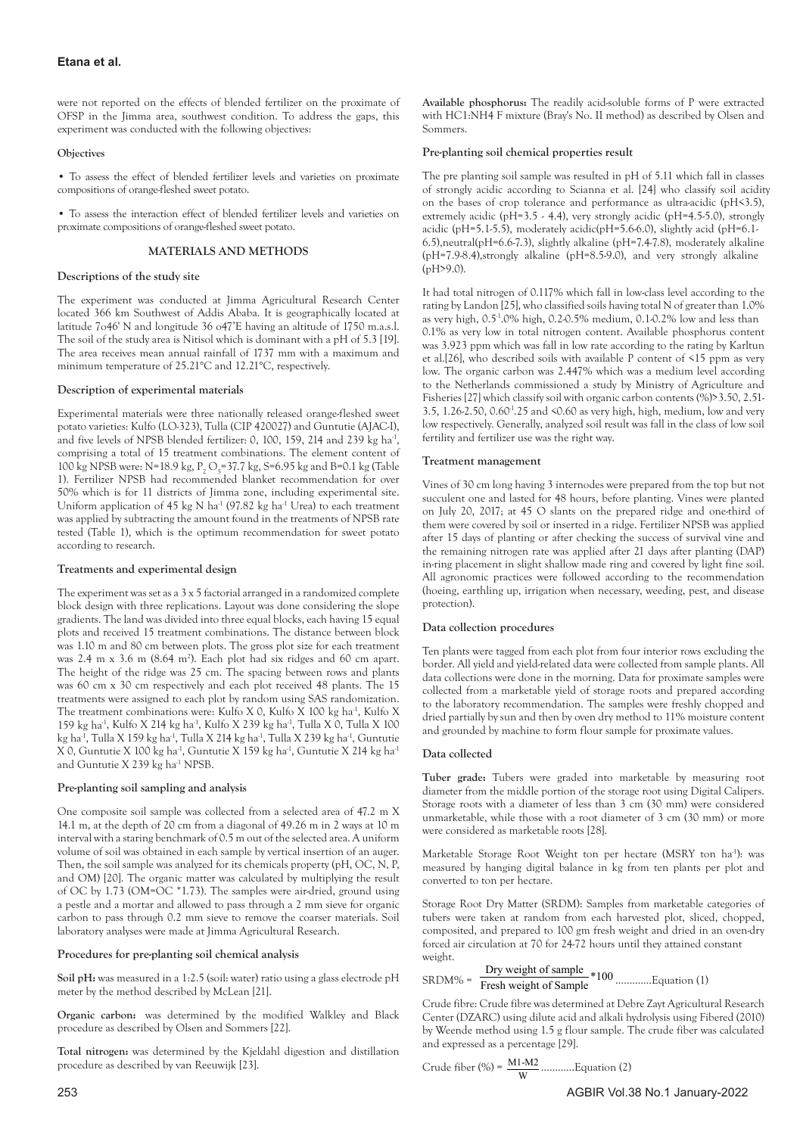were not reported on the effects of blended fertilizer on the proximate of OFSP in the Jimma area, southwest condition. To address the gaps, this experiment was conducted with the following objectives:

## **Objectives**

• To assess the effect of blended fertilizer levels and varieties on proximate compositions of orange-fleshed sweet potato.

• To assess the interaction effect of blended fertilizer levels and varieties on proximate compositions of orange-fleshed sweet potato.

## **MATERIALS AND METHODS**

# **Descriptions of the study site**

The experiment was conducted at Jimma Agricultural Research Center located 366 km Southwest of Addis Ababa. It is geographically located at latitude 7o46' N and longitude 36 o47'E having an altitude of 1750 m.a.s.l. The soil of the study area is Nitisol which is dominant with a pH of 5.3 [19]. The area receives mean annual rainfall of 1737 mm with a maximum and minimum temperature of 25.21°C and 12.21°C, respectively.

# **Description of experimental materials**

Experimental materials were three nationally released orange-fleshed sweet potato varieties: Kulfo (LO-323), Tulla (CIP 420027) and Guntutie (AJAC-I), and five levels of NPSB blended fertilizer: 0, 100, 159, 214 and 239 kg ha<sup>-1</sup>, comprising a total of 15 treatment combinations. The element content of 100 kg NPSB were: N=18.9 kg, P<sub>2</sub> O<sub>5</sub>=37.7 kg, S=6.95 kg and B=0.1 kg (Table 1). Fertilizer NPSB had recommended blanket recommendation for over 50% which is for 11 districts of Jimma zone, including experimental site. Uniform application of 45 kg N ha<sup>-1</sup> (97.82 kg ha<sup>-1</sup> Urea) to each treatment was applied by subtracting the amount found in the treatments of NPSB rate tested (Table 1), which is the optimum recommendation for sweet potato according to research.

## **Treatments and experimental design**

The experiment was set as a 3 x 5 factorial arranged in a randomized complete block design with three replications. Layout was done considering the slope gradients. The land was divided into three equal blocks, each having 15 equal plots and received 15 treatment combinations. The distance between block was 1.10 m and 80 cm between plots. The gross plot size for each treatment was 2.4 m x 3.6 m (8.64 m2 ). Each plot had six ridges and 60 cm apart. The height of the ridge was 25 cm. The spacing between rows and plants was 60 cm x 30 cm respectively and each plot received 48 plants. The 15 treatments were assigned to each plot by random using SAS randomization. The treatment combinations were: Kulfo X 0, Kulfo X 100 kg ha<sup>-1</sup>, Kulfo X 159 kg ha<sup>-1</sup>, Kulfo X 214 kg ha<sup>-1</sup>, Kulfo X 239 kg ha<sup>-1</sup>, Tulla X 0, Tulla X 100 kg ha<sup>-1</sup>, Tulla X 159 kg ha<sup>-1</sup>, Tulla X 214 kg ha<sup>-1</sup>, Tulla X 239 kg ha<sup>-1</sup>, Guntutie X 0, Guntutie X 100 kg ha<sup>-1</sup>, Guntutie X 159 kg ha<sup>-1</sup>, Guntutie X 214 kg ha<sup>-1</sup> and Guntutie X 239 kg ha<sup>-1</sup> NPSB.

# **Pre-planting soil sampling and analysis**

One composite soil sample was collected from a selected area of 47.2 m X 14.1 m, at the depth of 20 cm from a diagonal of 49.26 m in 2 ways at 10 m interval with a staring benchmark of 0.5 m out of the selected area. A uniform volume of soil was obtained in each sample by vertical insertion of an auger. Then, the soil sample was analyzed for its chemicals property (pH, OC, N, P, and OM) [20]. The organic matter was calculated by multiplying the result of OC by 1.73 (OM= $\overline{OC}$  \*1.73). The samples were air-dried, ground using a pestle and a mortar and allowed to pass through a 2 mm sieve for organic carbon to pass through 0.2 mm sieve to remove the coarser materials. Soil laboratory analyses were made at Jimma Agricultural Research.

## **Procedures for pre-planting soil chemical analysis**

**Soil pH:** was measured in a 1:2.5 (soil: water) ratio using a glass electrode pH meter by the method described by McLean [21].

**Organic carbon:** was determined by the modified Walkley and Black procedure as described by Olsen and Sommers [22].

**Total nitrogen:** was determined by the Kjeldahl digestion and distillation procedure as described by van Reeuwijk [23].

**Available phosphorus:** The readily acid-soluble forms of P were extracted with HC1:NH4 F mixture (Bray's No. II method) as described by Olsen and Sommers.

# **Pre-planting soil chemical properties result**

The pre planting soil sample was resulted in pH of 5.11 which fall in classes of strongly acidic according to Scianna et al. [24] who classify soil acidity on the bases of crop tolerance and performance as ultra-acidic (pH<3.5), extremely acidic ( $pH=3.5 \cdot 4.4$ ), very strongly acidic ( $pH=4.5 \cdot 5.0$ ), strongly acidic (pH=5.1-5.5), moderately acidic(pH=5.6-6.0), slightly acid (pH=6.1- 6.5),neutral(pH=6.6-7.3), slightly alkaline (pH=7.4-7.8), moderately alkaline (pH=7.9-8.4),strongly alkaline (pH=8.5-9.0), and very strongly alkaline (pH>9.0).

It had total nitrogen of 0.117% which fall in low-class level according to the rating by Landon [25], who classified soils having total N of greater than 1.0% as very high, 0.5-1.0% high, 0.2-0.5% medium, 0.1-0.2% low and less than 0.1% as very low in total nitrogen content. Available phosphorus content was 3.923 ppm which was fall in low rate according to the rating by Karltun et al.[26], who described soils with available P content of <15 ppm as very low. The organic carbon was 2.447% which was a medium level according to the Netherlands commissioned a study by Ministry of Agriculture and Fisheries [27] which classify soil with organic carbon contents (%)>3.50, 2.51- 3.5, 1.26-2.50, 0.60-1.25 and <0.60 as very high, high, medium, low and very low respectively. Generally, analyzed soil result was fall in the class of low soil fertility and fertilizer use was the right way.

# **Treatment management**

Vines of 30 cm long having 3 internodes were prepared from the top but not succulent one and lasted for 48 hours, before planting. Vines were planted on July 20, 2017; at 45 O slants on the prepared ridge and one-third of them were covered by soil or inserted in a ridge. Fertilizer NPSB was applied after 15 days of planting or after checking the success of survival vine and the remaining nitrogen rate was applied after 21 days after planting (DAP) in-ring placement in slight shallow made ring and covered by light fine soil. All agronomic practices were followed according to the recommendation (hoeing, earthling up, irrigation when necessary, weeding, pest, and disease protection).

# **Data collection procedures**

Ten plants were tagged from each plot from four interior rows excluding the border. All yield and yield-related data were collected from sample plants. All data collections were done in the morning. Data for proximate samples were collected from a marketable yield of storage roots and prepared according to the laboratory recommendation. The samples were freshly chopped and dried partially by sun and then by oven dry method to 11% moisture content and grounded by machine to form flour sample for proximate values.

# **Data collected**

**Tuber grade:** Tubers were graded into marketable by measuring root diameter from the middle portion of the storage root using Digital Calipers. Storage roots with a diameter of less than 3 cm (30 mm) were considered unmarketable, while those with a root diameter of 3 cm (30 mm) or more were considered as marketable roots [28].

Marketable Storage Root Weight ton per hectare (MSRY ton ha<sup>-1</sup>): was measured by hanging digital balance in kg from ten plants per plot and converted to ton per hectare.

Storage Root Dry Matter (SRDM): Samples from marketable categories of tubers were taken at random from each harvested plot, sliced, chopped, composited, and prepared to 100 gm fresh weight and dried in an oven-dry forced air circulation at 70 for 24-72 hours until they attained constant weight.

SRDM% = Dry weight of sample \*100 Fresh weight of Sample ………….Equation (1)

Crude fibre: Crude fibre was determined at Debre Zayt Agricultural Research Center (DZARC) using dilute acid and alkali hydrolysis using Fibered (2010) by Weende method using 1.5 g flour sample. The crude fiber was calculated and expressed as a percentage [29].

Crude fiber (
$$
\% = \frac{M1 - M2}{W}
$$
........Equation (2)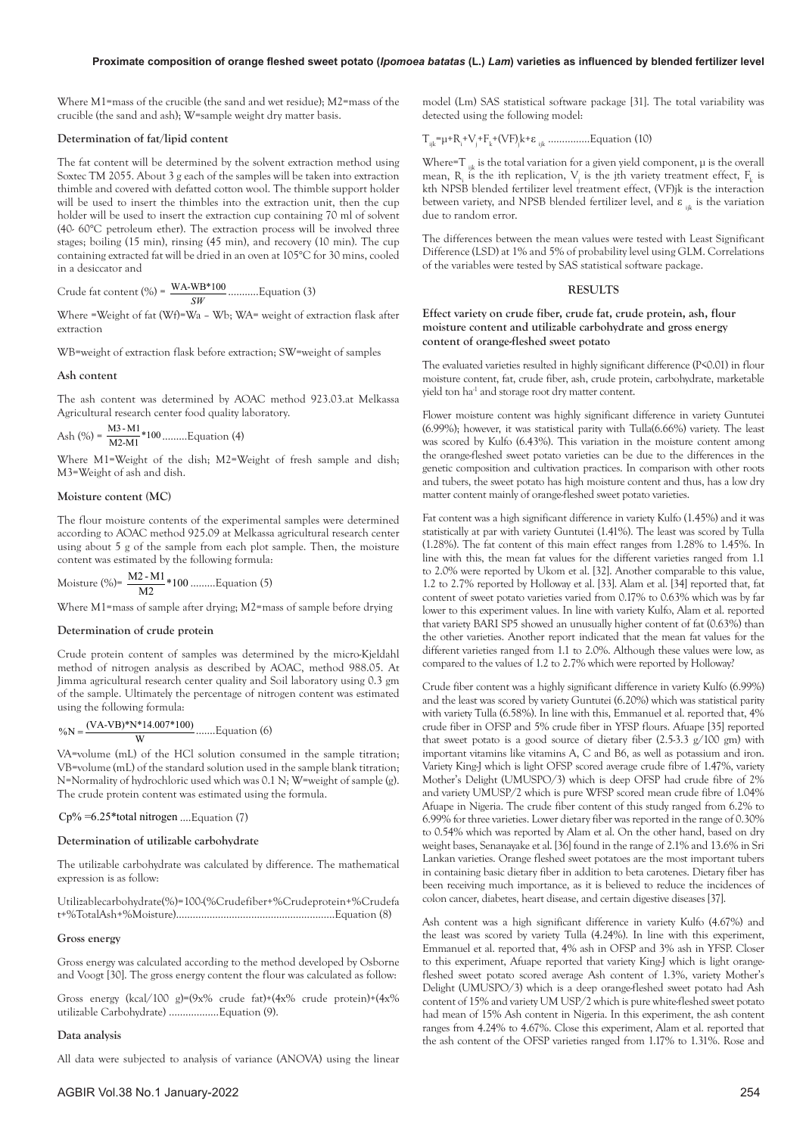## **Proximate composition of orange fleshed sweet potato (***Ipomoea batatas* **(L.)** *Lam***) varieties as influenced by blended fertilizer level**

Where M1=mass of the crucible (the sand and wet residue); M2=mass of the crucible (the sand and ash); W=sample weight dry matter basis.

#### **Determination of fat/lipid content**

The fat content will be determined by the solvent extraction method using Soxtec TM 2055. About 3 g each of the samples will be taken into extraction thimble and covered with defatted cotton wool. The thimble support holder will be used to insert the thimbles into the extraction unit, then the cup holder will be used to insert the extraction cup containing 70 ml of solvent (40- 60°C petroleum ether). The extraction process will be involved three stages; boiling (15 min), rinsing (45 min), and recovery (10 min). The cup containing extracted fat will be dried in an oven at 105°C for 30 mins, cooled in a desiccator and

Crude fat content (%) =  $\frac{\text{WA-WB*100}}{\text{SW}}$ *SW* ………..Equation (3)

Where =Weight of fat (Wf)=Wa – Wb; WA= weight of extraction flask after extraction

WB=weight of extraction flask before extraction; SW=weight of samples

#### **Ash content**

The ash content was determined by AOAC method 923.03.at Melkassa Agricultural research center food quality laboratory.

$$
Ash (%) = \frac{M3 - M1}{M2 - M1} * 100 \dots Lquation (4)
$$

Where M1=Weight of the dish; M2=Weight of fresh sample and dish; M3=Weight of ash and dish.

## **Moisture content (MC)**

The flour moisture contents of the experimental samples were determined according to AOAC method 925.09 at Melkassa agricultural research center using about 5 g of the sample from each plot sample. Then, the moisture content was estimated by the following formula:

Moisture (%) = 
$$
\frac{M2 - M1}{M2} * 100
$$
........  
Equation (5)

Where M1=mass of sample after drying; M2=mass of sample before drying

### **Determination of crude protein**

Crude protein content of samples was determined by the micro-Kjeldahl method of nitrogen analysis as described by AOAC, method 988.05. At Jimma agricultural research center quality and Soil laboratory using 0.3 gm of the sample. Ultimately the percentage of nitrogen content was estimated using the following formula:

# $\%N = \frac{(VA - VB)*N*14.007*100}{W}$  ....... Equation (6)

VA=volume (mL) of the HCl solution consumed in the sample titration; VB=volume (mL) of the standard solution used in the sample blank titration; N=Normality of hydrochloric used which was 0.1 N; W=weight of sample (g). The crude protein content was estimated using the formula.

## Cp% =6.25\*total nitrogen ….Equation (7)

#### **Determination of utilizable carbohydrate**

The utilizable carbohydrate was calculated by difference. The mathematical expression is as follow:

Utilizablecarbohydrate(%)=100-(%Crudefiber+%Crudeprotein+%Crudefa t+%TotalAsh+%Moisture)…………………………………………………Equation (8)

#### **Gross energy**

Gross energy was calculated according to the method developed by Osborne and Voogt [30]. The gross energy content the flour was calculated as follow:

Gross energy (kcal/100 g)=(9x% crude fat)+(4x% crude protein)+(4x% utilizable Carbohydrate) ………………Equation (9).

#### **Data analysis**

All data were subjected to analysis of variance (ANOVA) using the linear

model (Lm) SAS statistical software package [31]. The total variability was detected using the following model:

$$
T_{ijk} = \mu + R_{i} + V_{j} + F_{k} + (VF)_{j}k + \varepsilon_{ijk} \dots \dots \dots \dots \dots E_{\text{quation (10)}}
$$

Where=T  $_{ijk}$  is the total variation for a given yield component,  $\mu$  is the overall mean,  $R_i$  is the ith replication,  $V_j$  is the jth variety treatment effect,  $F_k$  is kth NPSB blended fertilizer level treatment effect, (VF)jk is the interaction between variety, and NPSB blended fertilizer level, and  $\varepsilon_{\text{int}}$  is the variation due to random error.

The differences between the mean values were tested with Least Significant Difference (LSD) at 1% and 5% of probability level using GLM. Correlations of the variables were tested by SAS statistical software package.

#### **RESULTS**

## **Effect variety on crude fiber, crude fat, crude protein, ash, flour moisture content and utilizable carbohydrate and gross energy content of orange-fleshed sweet potato**

The evaluated varieties resulted in highly significant difference (P<0.01) in flour moisture content, fat, crude fiber, ash, crude protein, carbohydrate, marketable yield ton ha<sup>-1</sup> and storage root dry matter content.

Flower moisture content was highly significant difference in variety Guntutei (6.99%); however, it was statistical parity with Tulla(6.66%) variety. The least was scored by Kulfo (6.43%). This variation in the moisture content among the orange-fleshed sweet potato varieties can be due to the differences in the genetic composition and cultivation practices. In comparison with other roots and tubers, the sweet potato has high moisture content and thus, has a low dry matter content mainly of orange-fleshed sweet potato varieties.

Fat content was a high significant difference in variety Kulfo (1.45%) and it was statistically at par with variety Guntutei (1.41%). The least was scored by Tulla (1.28%). The fat content of this main effect ranges from 1.28% to 1.45%. In line with this, the mean fat values for the different varieties ranged from 1.1 to 2.0% were reported by Ukom et al. [32]. Another comparable to this value, 1.2 to 2.7% reported by Holloway et al. [33]. Alam et al. [34] reported that, fat content of sweet potato varieties varied from 0.17% to 0.63% which was by far lower to this experiment values. In line with variety Kulfo, Alam et al. reported that variety BARI SP5 showed an unusually higher content of fat (0.63%) than the other varieties. Another report indicated that the mean fat values for the different varieties ranged from 1.1 to 2.0%. Although these values were low, as compared to the values of 1.2 to 2.7% which were reported by Holloway?

Crude fiber content was a highly significant difference in variety Kulfo (6.99%) and the least was scored by variety Guntutei (6.20%) which was statistical parity with variety Tulla (6.58%). In line with this, Emmanuel et al. reported that, 4% crude fiber in OFSP and 5% crude fiber in YFSP flours. Afuape [35] reported that sweet potato is a good source of dietary fiber (2.5-3.3 g/100 gm) with important vitamins like vitamins A, C and B6, as well as potassium and iron. Variety King-J which is light OFSP scored average crude fibre of 1.47%, variety Mother's Delight (UMUSPO/3) which is deep OFSP had crude fibre of 2% and variety UMUSP/2 which is pure WFSP scored mean crude fibre of 1.04% Afuape in Nigeria. The crude fiber content of this study ranged from 6.2% to 6.99% for three varieties. Lower dietary fiber was reported in the range of 0.30% to 0.54% which was reported by Alam et al. On the other hand, based on dry weight bases, Senanayake et al. [36] found in the range of 2.1% and 13.6% in Sri Lankan varieties. Orange fleshed sweet potatoes are the most important tubers in containing basic dietary fiber in addition to beta carotenes. Dietary fiber has been receiving much importance, as it is believed to reduce the incidences of colon cancer, diabetes, heart disease, and certain digestive diseases [37].

Ash content was a high significant difference in variety Kulfo (4.67%) and the least was scored by variety Tulla (4.24%). In line with this experiment, Emmanuel et al. reported that, 4% ash in OFSP and 3% ash in YFSP. Closer to this experiment, Afuape reported that variety King-J which is light orangefleshed sweet potato scored average Ash content of 1.3%, variety Mother's Delight (UMUSPO/3) which is a deep orange-fleshed sweet potato had Ash content of 15% and variety UM USP/2 which is pure white-fleshed sweet potato had mean of 15% Ash content in Nigeria. In this experiment, the ash content ranges from 4.24% to 4.67%. Close this experiment, Alam et al. reported that the ash content of the OFSP varieties ranged from 1.17% to 1.31%. Rose and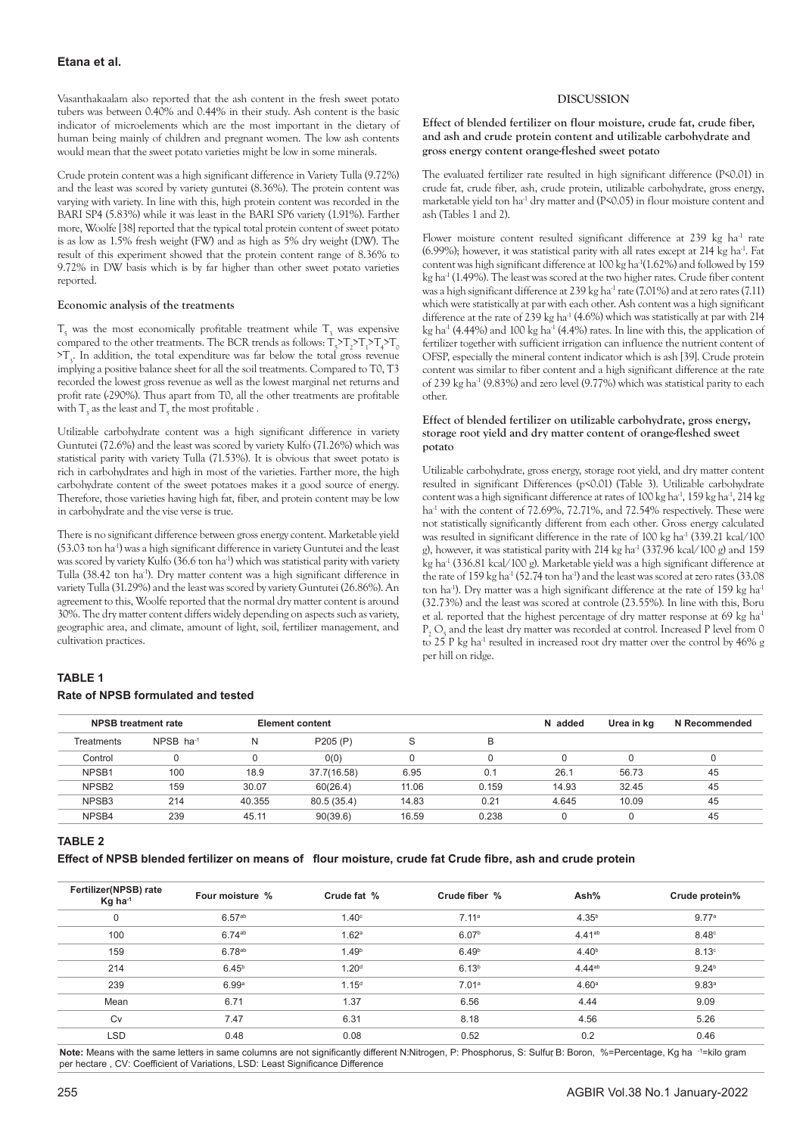Vasanthakaalam also reported that the ash content in the fresh sweet potato tubers was between 0.40% and 0.44% in their study. Ash content is the basic indicator of microelements which are the most important in the dietary of human being mainly of children and pregnant women. The low ash contents would mean that the sweet potato varieties might be low in some minerals.

Crude protein content was a high significant difference in Variety Tulla (9.72%) and the least was scored by variety guntutei (8.36%). The protein content was varying with variety. In line with this, high protein content was recorded in the BARI SP4 (5.83%) while it was least in the BARI SP6 variety (1.91%). Farther more, Woolfe [38] reported that the typical total protein content of sweet potato is as low as 1.5% fresh weight (FW) and as high as 5% dry weight (DW). The result of this experiment showed that the protein content range of 8.36% to 9.72% in DW basis which is by far higher than other sweet potato varieties reported.

## **Economic analysis of the treatments**

 $T_5$  was the most economically profitable treatment while  $T_3$  was expensive compared to the other treatments. The BCR trends as follows:  $T_5$  $T_2$  $T_1$  $T_4$  $T_0$  $>$ T<sub>3</sub>. In addition, the total expenditure was far below the total gross revenue implying a positive balance sheet for all the soil treatments. Compared to T0, T3 recorded the lowest gross revenue as well as the lowest marginal net returns and profit rate (-290%). Thus apart from T0, all the other treatments are profitable with  $T_3$  as the least and  $T_5$  the most profitable .

Utilizable carbohydrate content was a high significant difference in variety Guntutei (72.6%) and the least was scored by variety Kulfo (71.26%) which was statistical parity with variety Tulla (71.53%). It is obvious that sweet potato is rich in carbohydrates and high in most of the varieties. Farther more, the high carbohydrate content of the sweet potatoes makes it a good source of energy. Therefore, those varieties having high fat, fiber, and protein content may be low in carbohydrate and the vise verse is true.

There is no significant difference between gross energy content. Marketable yield (53.03 ton ha-1) was a high significant difference in variety Guntutei and the least was scored by variety Kulfo (36.6 ton ha<sup>-1</sup>) which was statistical parity with variety Tulla (38.42 ton ha<sup>-1</sup>). Dry matter content was a high significant difference in variety Tulla (31.29%) and the least was scored by variety Guntutei (26.86%). An agreement to this, Woolfe reported that the normal dry matter content is around 30%. The dry matter content differs widely depending on aspects such as variety, geographic area, and climate, amount of light, soil, fertilizer management, and cultivation practices.

# **TABLE 1 Rate of NPSB formulated and tested**

# **DISCUSSION**

**Effect of blended fertilizer on flour moisture, crude fat, crude fiber, and ash and crude protein content and utilizable carbohydrate and gross energy content orange-fleshed sweet potato**

The evaluated fertilizer rate resulted in high significant difference (P<0.01) in crude fat, crude fiber, ash, crude protein, utilizable carbohydrate, gross energy, marketable yield ton ha<sup>-1</sup> dry matter and (P<0.05) in flour moisture content and ash (Tables 1 and 2).

Flower moisture content resulted significant difference at 239 kg ha<sup>-1</sup> rate (6.99%); however, it was statistical parity with all rates except at  $214$  kg ha<sup>-1</sup>. Fat content was high significant difference at 100 kg ha<sup>-1</sup>(1.62%) and followed by 159 kg ha<sup>-1</sup> (1.49%). The least was scored at the two higher rates. Crude fiber content was a high significant difference at  $239$  kg ha<sup>-1</sup> rate (7.01%) and at zero rates (7.11) which were statistically at par with each other. Ash content was a high significant difference at the rate of 239 kg ha<sup>-1</sup> (4.6%) which was statistically at par with 214 kg ha<sup>-1</sup> (4.44%) and 100 kg ha<sup>-1</sup> (4.4%) rates. In line with this, the application of fertilizer together with sufficient irrigation can influence the nutrient content of OFSP, especially the mineral content indicator which is ash [39]. Crude protein content was similar to fiber content and a high significant difference at the rate of 239 kg ha $^{-1}$  (9.83%) and zero level (9.77%) which was statistical parity to each other.

## **Effect of blended fertilizer on utilizable carbohydrate, gross energy, storage root yield and dry matter content of orange-fleshed sweet potato**

Utilizable carbohydrate, gross energy, storage root yield, and dry matter content resulted in significant Differences (p<0.01) (Table 3). Utilizable carbohydrate content was a high significant difference at rates of 100 kg ha<sup>-1</sup>, 159 kg ha<sup>-1</sup>, 214 kg ha<sup>-1</sup> with the content of 72.69%, 72.71%, and 72.54% respectively. These were not statistically significantly different from each other. Gross energy calculated was resulted in significant difference in the rate of 100 kg ha<sup>-1</sup> (339.21 kcal/100 g), however, it was statistical parity with  $214 \text{ kg}$  ha<sup>-1</sup> (337.96 kcal/100 g) and 159 kg ha<sup>-1</sup> (336.81 kcal/100 g). Marketable yield was a high significant difference at the rate of 159 kg ha<sup>-1</sup> (52.74 ton ha<sup>-1</sup>) and the least was scored at zero rates (33.08 ton ha<sup>-1</sup>). Dry matter was a high significant difference at the rate of 159 kg ha<sup>-1</sup> (32.73%) and the least was scored at controle (23.55%). In line with this, Boru et al. reported that the highest percentage of dry matter response at 69 kg ha<sup>-1</sup>  $P_2$  O<sub>5</sub> and the least dry matter was recorded at control. Increased P level from 0 to 25 P kg ha<sup>-1</sup> resulted in increased root dry matter over the control by 46% g per hill on ridge.

|                   | <b>NPSB treatment rate</b> |        | Element content |       |       | N added | Urea in kg | N Recommended |
|-------------------|----------------------------|--------|-----------------|-------|-------|---------|------------|---------------|
| Treatments        | $NPSB$ ha-1                | N      | P205(P)         | S     | в     |         |            |               |
| Control           |                            |        | 0(0)            |       |       |         |            | 0             |
| NPSB1             | 100                        | 18.9   | 37.7(16.58)     | 6.95  | 0.1   | 26.1    | 56.73      | 45            |
| NPSB <sub>2</sub> | 159                        | 30.07  | 60(26.4)        | 11.06 | 0.159 | 14.93   | 32.45      | 45            |
| NPSB <sub>3</sub> | 214                        | 40.355 | 80.5 (35.4)     | 14.83 | 0.21  | 4.645   | 10.09      | 45            |
| NPSB4             | 239                        | 45.11  | 90(39.6)        | 16.59 | 0.238 |         |            | 45            |
|                   |                            |        |                 |       |       |         |            |               |

## **TABLE 2**

**Effect of NPSB blended fertilizer on means of flour moisture, crude fat Crude fibre, ash and crude protein** 

| Fertilizer(NPSB) rate<br>$Kg$ ha <sup>-1</sup> | Four moisture %    | Crude fat %       | Crude fiber %     | Ash%              | Crude protein%    |
|------------------------------------------------|--------------------|-------------------|-------------------|-------------------|-------------------|
| 0                                              | 6.57 <sup>ab</sup> | $1.40^\circ$      | 7.11 <sup>a</sup> | $4.35^{b}$        | 9.77 <sup>a</sup> |
| 100                                            | $6.74^{ab}$        | 1.62 <sup>a</sup> | 6.07 <sup>b</sup> | $4.41^{ab}$       | $8.48^\circ$      |
| 159                                            | 6.78ab             | 1.49 <sup>b</sup> | 6.49 <sup>b</sup> | 4.40 <sup>b</sup> | 8.13°             |
| 214                                            | 6.45 <sup>b</sup>  | 1.20 <sup>d</sup> | 6.13 <sup>b</sup> | $4.44^{ab}$       | 9.24 <sup>b</sup> |
| 239                                            | 6.99a              | 1.15 <sup>d</sup> | 7.01 <sup>a</sup> | 4.60 <sup>a</sup> | 9.83 <sup>a</sup> |
| Mean                                           | 6.71               | 1.37              | 6.56              | 4.44              | 9.09              |
| Cv                                             | 7.47               | 6.31              | 8.18              | 4.56              | 5.26              |
| <b>LSD</b>                                     | 0.48               | 0.08              | 0.52              | 0.2               | 0.46              |

Note: Means with the same letters in same columns are not significantly different N:Nitrogen, P: Phosphorus, S: Sulfur B: Boron, %=Percentage, Kg ha <sup>-1</sup>=kilo gram per hectare, CV: Coefficient of Variations, LSD: Least Significance Difference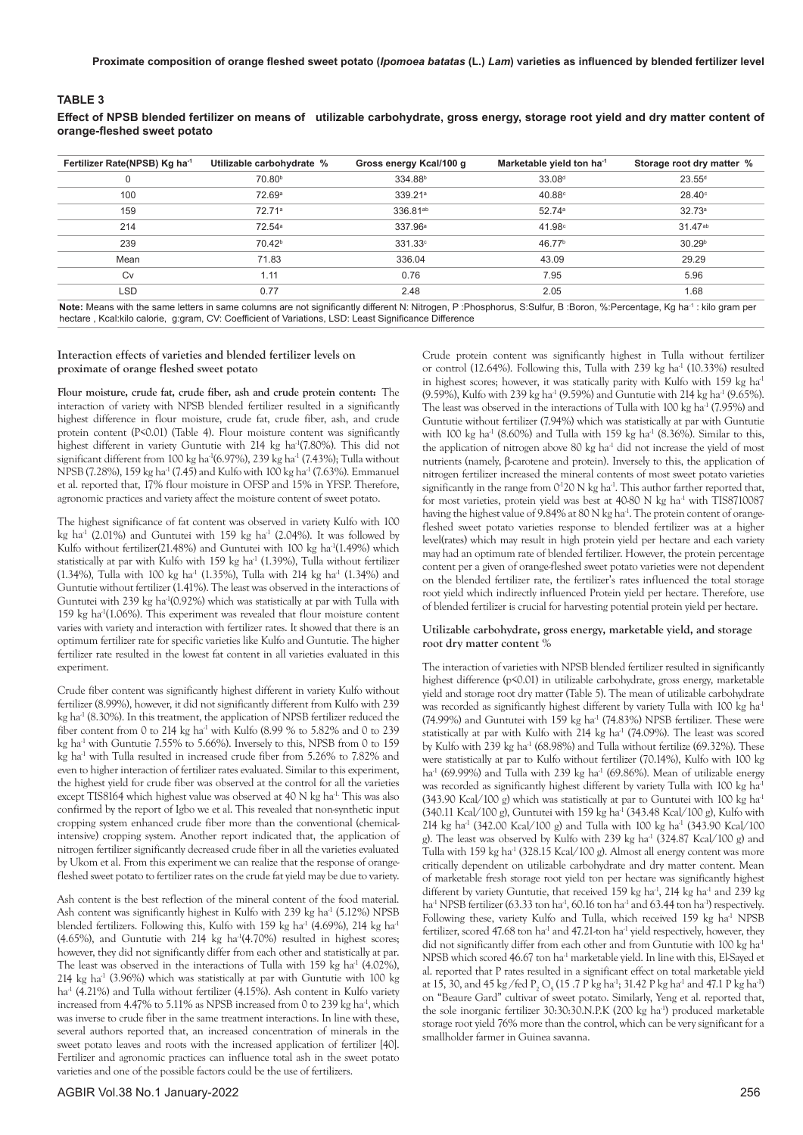## **TABLE 3**

**Effect of NPSB blended fertilizer on means of utilizable carbohydrate, gross energy, storage root yield and dry matter content of orange-fleshed sweet potato**

| Fertilizer Rate(NPSB) Kg ha <sup>-1</sup>                                                                                                                                        | Utilizable carbohydrate % | Gross energy Kcal/100 g | Marketable yield ton ha <sup>-1</sup> | Storage root dry matter % |  |
|----------------------------------------------------------------------------------------------------------------------------------------------------------------------------------|---------------------------|-------------------------|---------------------------------------|---------------------------|--|
|                                                                                                                                                                                  | 70.80 <sup>b</sup>        | 334.88 <sup>b</sup>     | 33.08 <sup>d</sup>                    | $23.55^{d}$               |  |
| 100                                                                                                                                                                              | 72.69 <sup>a</sup>        | 339.21 <sup>a</sup>     | $40.88^\circ$                         | $28.40^\circ$             |  |
| 159                                                                                                                                                                              | 72.71 <sup>a</sup>        | 336.81 <sup>ab</sup>    | 52.74a                                | 32.73a                    |  |
| 214                                                                                                                                                                              | 72.54a                    | 337.96 <sup>a</sup>     | 41.98°                                | $31.47^{ab}$              |  |
| 239                                                                                                                                                                              | 70.42 <sup>b</sup>        | 331.33c                 | 46.77 <sup>b</sup>                    | 30.29 <sup>b</sup>        |  |
| Mean                                                                                                                                                                             | 71.83                     | 336.04                  | 43.09                                 | 29.29                     |  |
| Cv                                                                                                                                                                               | 1.11                      | 0.76                    | 7.95                                  | 5.96                      |  |
| <b>LSD</b>                                                                                                                                                                       | 0.77                      | 2.48                    | 2.05                                  | 1.68                      |  |
| Note: Means with the same letters in same columns are not significantly different N: Nitrogen P: Phosphorus S: Sulfur B: Boron %: Percentage Kg ha <sup>-1</sup> : kilo gram per |                           |                         |                                       |                           |  |

**Note:** Means with the same letters in same columns are not significantly different N: Nitrogen, P :Phosphorus, S:Sulfur, B :Boron, %:Percentage, Kg ha-1 : kilo gram per hectare , Kcal:kilo calorie, g:gram, CV: Coefficient of Variations, LSD: Least Significance Difference

#### **Interaction effects of varieties and blended fertilizer levels on proximate of orange fleshed sweet potato**

**Flour moisture, crude fat, crude fiber, ash and crude protein content:** The interaction of variety with NPSB blended fertilizer resulted in a significantly highest difference in flour moisture, crude fat, crude fiber, ash, and crude protein content (P<0.01) (Table 4). Flour moisture content was significantly highest different in variety Guntutie with 214 kg ha<sup>-1</sup>(7.80%). This did not significant different from 100 kg ha<sup>-1</sup>(6.97%), 239 kg ha<sup>-1</sup> (7.43%); Tulla without NPSB (7.28%), 159 kg ha<sup>-1</sup> (7.45) and Kulfo with 100 kg ha<sup>-1</sup> (7.63%). Emmanuel et al. reported that, 17% flour moisture in OFSP and 15% in YFSP. Therefore, agronomic practices and variety affect the moisture content of sweet potato.

The highest significance of fat content was observed in variety Kulfo with 100 kg ha<sup>-1</sup> (2.01%) and Guntutei with 159 kg ha<sup>-1</sup> (2.04%). It was followed by Kulfo without fertilizer(21.48%) and Guntutei with 100 kg ha<sup>-1</sup>(1.49%) which statistically at par with Kulfo with  $159$  kg ha<sup>-1</sup> (1.39%), Tulla without fertilizer (1.34%), Tulla with 100 kg ha<sup>-1</sup> (1.35%), Tulla with 214 kg ha<sup>-1</sup> (1.34%) and Guntutie without fertilizer (1.41%). The least was observed in the interactions of Guntutei with 239 kg ha<sup>-1</sup>(0.92%) which was statistically at par with Tulla with 159 kg ha-1(1.06%). This experiment was revealed that flour moisture content varies with variety and interaction with fertilizer rates. It showed that there is an optimum fertilizer rate for specific varieties like Kulfo and Guntutie. The higher fertilizer rate resulted in the lowest fat content in all varieties evaluated in this experiment.

Crude fiber content was significantly highest different in variety Kulfo without fertilizer (8.99%), however, it did not significantly different from Kulfo with 239 kg ha $^{-1}$  (8.30%). In this treatment, the application of NPSB fertilizer reduced the fiber content from 0 to 214 kg ha<sup>-1</sup> with Kulfo (8.99 % to 5.82% and 0 to 239 kg ha<sup>-1</sup> with Guntutie 7.55% to 5.66%). Inversely to this, NPSB from 0 to 159 kg ha<sup>-1</sup> with Tulla resulted in increased crude fiber from 5.26% to 7.82% and even to higher interaction of fertilizer rates evaluated. Similar to this experiment, the highest yield for crude fiber was observed at the control for all the varieties except TIS8164 which highest value was observed at 40 N kg ha<sup>-1.</sup> This was also confirmed by the report of Igbo we et al. This revealed that non-synthetic input cropping system enhanced crude fiber more than the conventional (chemicalintensive) cropping system. Another report indicated that, the application of nitrogen fertilizer significantly decreased crude fiber in all the varieties evaluated by Ukom et al. From this experiment we can realize that the response of orangefleshed sweet potato to fertilizer rates on the crude fat yield may be due to variety.

Ash content is the best reflection of the mineral content of the food material. Ash content was significantly highest in Kulfo with 239 kg ha<sup>-1</sup> (5.12%) NPSB blended fertilizers. Following this, Kulfo with 159 kg ha<sup>-1</sup> (4.69%), 214 kg ha<sup>-1</sup> (4.65%), and Guntutie with 214 kg ha<sup>-1</sup>(4.70%) resulted in highest scores; however, they did not significantly differ from each other and statistically at par. The least was observed in the interactions of Tulla with  $159 \text{ kg}$  ha<sup>-1</sup> (4.02%),  $214$  kg ha<sup>-1</sup> (3.96%) which was statistically at par with Guntutie with 100 kg ha<sup>-1</sup> (4.21%) and Tulla without fertilizer (4.15%). Ash content in Kulfo variety increased from  $4.47\%$  to  $5.11\%$  as NPSB increased from 0 to 239 kg ha<sup>-1</sup>, which was inverse to crude fiber in the same treatment interactions. In line with these, several authors reported that, an increased concentration of minerals in the sweet potato leaves and roots with the increased application of fertilizer [40]. Fertilizer and agronomic practices can influence total ash in the sweet potato varieties and one of the possible factors could be the use of fertilizers.

Crude protein content was significantly highest in Tulla without fertilizer or control (12.64%). Following this, Tulla with 239 kg ha<sup>-1</sup> (10.33%) resulted in highest scores; however, it was statically parity with Kulfo with 159 kg ha<sup>-1</sup> (9.59%), Kulfo with 239 kg ha<sup>-1</sup> (9.59%) and Guntutie with 214 kg ha<sup>-1</sup> (9.65%). The least was observed in the interactions of Tulla with 100 kg ha<sup>-1</sup> (7.95%) and Guntutie without fertilizer (7.94%) which was statistically at par with Guntutie with 100 kg ha<sup>-1</sup> (8.60%) and Tulla with 159 kg ha<sup>-1</sup> (8.36%). Similar to this, the application of nitrogen above 80 kg ha<sup>-1</sup> did not increase the yield of most nutrients (namely, β-carotene and protein). Inversely to this, the application of nitrogen fertilizer increased the mineral contents of most sweet potato varieties significantly in the range from  $O<sup>1</sup>2O$  N kg ha<sup>-1</sup>. This author farther reported that, for most varieties, protein yield was best at 40-80 N kg ha<sup>-1</sup> with TIS8710087 having the highest value of 9.84% at 80 N kg ha<sup>-1</sup>. The protein content of orangefleshed sweet potato varieties response to blended fertilizer was at a higher level(rates) which may result in high protein yield per hectare and each variety may had an optimum rate of blended fertilizer. However, the protein percentage content per a given of orange-fleshed sweet potato varieties were not dependent on the blended fertilizer rate, the fertilizer's rates influenced the total storage root yield which indirectly influenced Protein yield per hectare. Therefore, use of blended fertilizer is crucial for harvesting potential protein yield per hectare.

#### **Utilizable carbohydrate, gross energy, marketable yield, and storage root dry matter content %**

The interaction of varieties with NPSB blended fertilizer resulted in significantly highest difference (p<0.01) in utilizable carbohydrate, gross energy, marketable yield and storage root dry matter (Table 5). The mean of utilizable carbohydrate was recorded as significantly highest different by variety Tulla with 100 kg ha<sup>-1</sup> (74.99%) and Guntutei with 159 kg ha<sup>-1</sup> (74.83%) NPSB fertilizer. These were statistically at par with Kulfo with  $214$  kg ha<sup>-1</sup> (74.09%). The least was scored by Kulfo with  $239$  kg ha<sup>-1</sup> (68.98%) and Tulla without fertilize (69.32%). These were statistically at par to Kulfo without fertilizer (70.14%), Kulfo with 100 kg ha<sup>-1</sup> (69.99%) and Tulla with 239 kg ha<sup>-1</sup> (69.86%). Mean of utilizable energy was recorded as significantly highest different by variety Tulla with 100 kg ha<sup>-1</sup> (343.90 Kcal/100 g) which was statistically at par to Guntutei with 100 kg ha-1 (340.11 Kcal/100 g), Guntutei with 159 kg ha<sup>-1</sup> (343.48 Kcal/100 g), Kulfo with 214 kg ha<sup>-1</sup> (342.00 Kcal/100 g) and Tulla with 100 kg ha<sup>-1</sup> (343.90 Kcal/100 g). The least was observed by Kulfo with 239 kg ha<sup>-1</sup> (324.87 Kcal/100 g) and Tulla with 159 kg ha<sup>-1</sup> (328.15 Kcal/100 g). Almost all energy content was more critically dependent on utilizable carbohydrate and dry matter content. Mean of marketable fresh storage root yield ton per hectare was significantly highest different by variety Guntutie, that received 159 kg ha<sup>-1</sup>, 214 kg ha<sup>-1</sup> and 239 kg ha<sup>-1</sup> NPSB fertilizer (63.33 ton ha<sup>-1</sup>, 60.16 ton ha<sup>-1</sup> and 63.44 ton ha<sup>-1</sup>) respectively. Following these, variety Kulfo and Tulla, which received 159 kg ha<sup>-1</sup> NPSB fertilizer, scored 47.68 ton ha<sup>-1</sup> and 47.21-ton ha<sup>-1</sup> yield respectively, however, they did not significantly differ from each other and from Guntutie with 100 kg ha<sup>-1</sup> NPSB which scored 46.67 ton ha<sup>-1</sup> marketable yield. In line with this, El-Sayed et al. reported that P rates resulted in a significant effect on total marketable yield at 15, 30, and 45 kg/fed  $P_2O_5(15.7 P kg ha^3; 31.42 P kg ha^3$  and 47.1 P kg ha<sup>3</sup>) on "Beaure Gard" cultivar of sweet potato. Similarly, Yeng et al. reported that, the sole inorganic fertilizer 30:30:30.N.P.K (200 kg ha<sup>-1</sup>) produced marketable storage root yield 76% more than the control, which can be very significant for a smallholder farmer in Guinea savanna.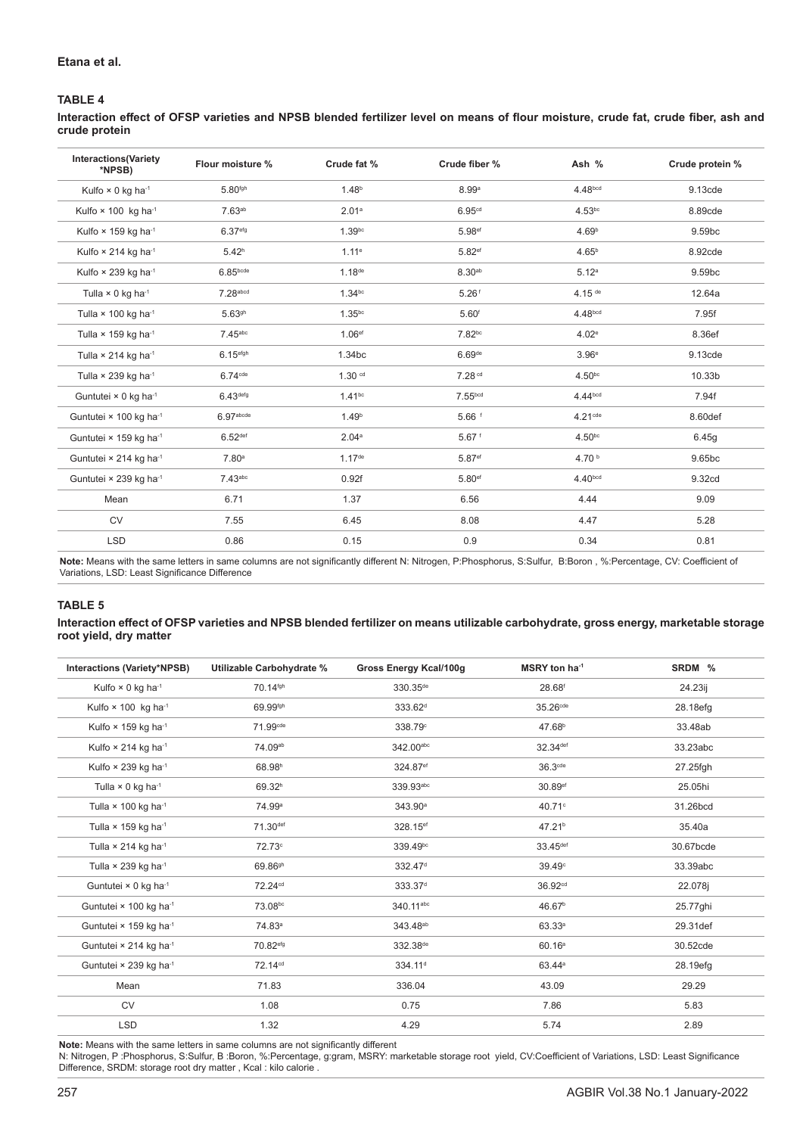# **TABLE 4**

**Interaction effect of OFSP varieties and NPSB blended fertilizer level on means of flour moisture, crude fat, crude fiber, ash and crude protein** 

| <b>Interactions(Variety</b><br>*NPSB)   | Flour moisture %      | Crude fat %          | Crude fiber %        | Ash %                | Crude protein % |
|-----------------------------------------|-----------------------|----------------------|----------------------|----------------------|-----------------|
| Kulfo $\times$ 0 kg ha <sup>-1</sup>    | 5.80 <sup>fgh</sup>   | 1.48 <sup>b</sup>    | 8.99a                | 4.48bcd              | 9.13cde         |
| Kulfo × 100 kg ha <sup>-1</sup>         | 7.63a <sub>b</sub>    | 2.01a                | 6.95cd               | $4.53^{bc}$          | 8.89cde         |
| Kulfo × 159 kg ha <sup>-1</sup>         | 6.37 <sup>efg</sup>   | 1.39 <sup>bc</sup>   | 5.98 <sup>ef</sup>   | 4.69 <sup>b</sup>    | 9.59bc          |
| Kulfo $\times$ 214 kg ha <sup>-1</sup>  | 5.42 <sup>h</sup>     | 1.11e                | 5.82ef               | 4.65 <sup>b</sup>    | 8.92cde         |
| Kulfo $\times$ 239 kg ha-1              | 6.85 <sub>bcde</sub>  | 1.18 <sup>de</sup>   | 8.30ab               | 5.12 <sup>a</sup>    | 9.59bc          |
| Tulla × 0 kg ha <sup>-1</sup>           | 7.28abcd              | 1.34 <sup>bc</sup>   | $5.26$ <sup>f</sup>  | $4.15$ <sup>de</sup> | 12.64a          |
| Tulla $\times$ 100 kg ha <sup>-1</sup>  | $5.63$ gh             | 1.35 <sup>bc</sup>   | 5.60 <sup>f</sup>    | 4.48bcd              | 7.95f           |
| Tulla $\times$ 159 kg ha <sup>-1</sup>  | $7.45$ abc            | 1.06 <sup>ef</sup>   | 7.82bc               | 4.02e                | 8.36ef          |
| Tulla $\times$ 214 kg ha <sup>-1</sup>  | 6.15 <sup>efgh</sup>  | 1.34bc               | 6.69de               | 3.96 <sup>e</sup>    | 9.13cde         |
| Tulla $\times$ 239 kg ha-1              | $6.74$ <sup>cde</sup> | 1.30 <sup>cd</sup>   | 7.28 <sup>cd</sup>   | 4.50 <sup>bc</sup>   | 10.33b          |
| Guntutei $\times$ 0 kg ha <sup>-1</sup> | 6.43 <sup>defg</sup>  | 1.41 <sup>bc</sup>   | 7.55 <sub>bcd</sub>  | 4.44 <sup>bcd</sup>  | 7.94f           |
| Guntutei × 100 kg ha-1                  | 6.97 <sub>abcde</sub> | 1.49 <sup>b</sup>    | $5.66$ f             | $4.21$ cde           | 8.60def         |
| Guntutei × 159 kg ha-1                  | 6.52 <sup>def</sup>   | 2.04a                | $5.67$ <sup>f</sup>  | 4.50 <sup>bc</sup>   | 6.45g           |
| Guntutei × 214 kg ha-1                  | 7.80 <sup>a</sup>     | $1.17$ <sup>de</sup> | 5.87ef               | 4.70 $b$             | 9.65bc          |
| Guntutei × 239 kg ha <sup>-1</sup>      | $7.43$ abc            | 0.92f                | $5.80$ <sup>ef</sup> | 4.40 <sub>bcd</sub>  | 9.32cd          |
| Mean                                    | 6.71                  | 1.37                 | 6.56                 | 4.44                 | 9.09            |
| <b>CV</b>                               | 7.55                  | 6.45                 | 8.08                 | 4.47                 | 5.28            |
| <b>LSD</b>                              | 0.86                  | 0.15                 | 0.9                  | 0.34                 | 0.81            |

**Note:** Means with the same letters in same columns are not significantly different N: Nitrogen, P:Phosphorus, S:Sulfur, B:Boron , %:Percentage, CV: Coefficient of Variations, LSD: Least Significance Difference

## **TABLE 5**

## **Interaction effect of OFSP varieties and NPSB blended fertilizer on means utilizable carbohydrate, gross energy, marketable storage root yield, dry matter**

| Interactions (Variety*NPSB)               | Utilizable Carbohydrate % | <b>Gross Energy Kcal/100g</b> | MSRY ton ha <sup>-1</sup> | SRDM %    |
|-------------------------------------------|---------------------------|-------------------------------|---------------------------|-----------|
| Kulfo $\times$ 0 kg ha <sup>-1</sup>      | 70.14fgh                  | 330.35 <sup>de</sup>          | 28.68 <sup>f</sup>        | 24.23ij   |
| Kulfo × 100 kg ha-1                       | 69.99fgh                  | 333.62 <sup>d</sup>           | 35.26 <sup>cde</sup>      | 28.18efg  |
| Kulfo $\times$ 159 kg ha-1                | 71.99cde                  | 338.79°                       | 47.68 <sup>b</sup>        | 33.48ab   |
| Kulfo $\times$ 214 kg ha-1                | 74.09ab                   | 342.00abc                     | 32.34 <sup>def</sup>      | 33.23abc  |
| Kulfo × 239 kg ha-1                       | 68.98h                    | 324.87 <sup>ef</sup>          | 36.3cde                   | 27.25fgh  |
| Tulla $\times$ 0 kg ha <sup>-1</sup>      | 69.32h                    | 339.93abc                     | 30.89ef                   | 25.05hi   |
| Tulla $\times$ 100 kg ha <sup>-1</sup>    | 74.99 <sup>a</sup>        | 343.90 <sup>a</sup>           | 40.71°                    | 31.26bcd  |
| Tulla $\times$ 159 kg ha <sup>-1</sup>    | 71.30def                  | 328.15 <sup>ef</sup>          | 47.21 <sup>b</sup>        | 35.40a    |
| Tulla $\times$ 214 kg ha <sup>-1</sup>    | 72.73°                    | 339.49bc                      | 33.45def                  | 30.67bcde |
| Tulla $\times$ 239 kg ha <sup>-1</sup>    | 69.86 <sup>gh</sup>       | 332.47 <sup>d</sup>           | 39.49 <sup>c</sup>        | 33.39abc  |
| Guntutei × 0 kg ha <sup>-1</sup>          | 72.24 <sup>cd</sup>       | 333.37 <sup>d</sup>           | 36.92 <sup>cd</sup>       | 22.078j   |
| Guntutei × 100 kg ha-1                    | 73.08bc                   | 340.11abc                     | 46.67 <sup>b</sup>        | 25.77ghi  |
| Guntutei × 159 kg ha-1                    | 74.83 <sup>a</sup>        | 343.48 <sup>ab</sup>          | 63.33a                    | 29.31def  |
| Guntutei $\times$ 214 kg ha <sup>-1</sup> | 70.82 <sup>efg</sup>      | 332.38 <sup>de</sup>          | 60.16 <sup>a</sup>        | 30.52cde  |
| Guntutei × 239 kg ha-1                    | 72.14 <sup>cd</sup>       | 334.11 <sup>d</sup>           | 63.44 <sup>a</sup>        | 28.19efg  |
| Mean                                      | 71.83                     | 336.04                        | 43.09                     | 29.29     |
| <b>CV</b>                                 | 1.08                      | 0.75                          | 7.86                      | 5.83      |
| <b>LSD</b>                                | 1.32                      | 4.29                          | 5.74                      | 2.89      |

**Note:** Means with the same letters in same columns are not significantly different

N: Nitrogen, P :Phosphorus, S:Sulfur, B :Boron, %:Percentage, g:gram, MSRY: marketable storage root yield, CV:Coefficient of Variations, LSD: Least Significance Difference, SRDM: storage root dry matter , Kcal : kilo calorie .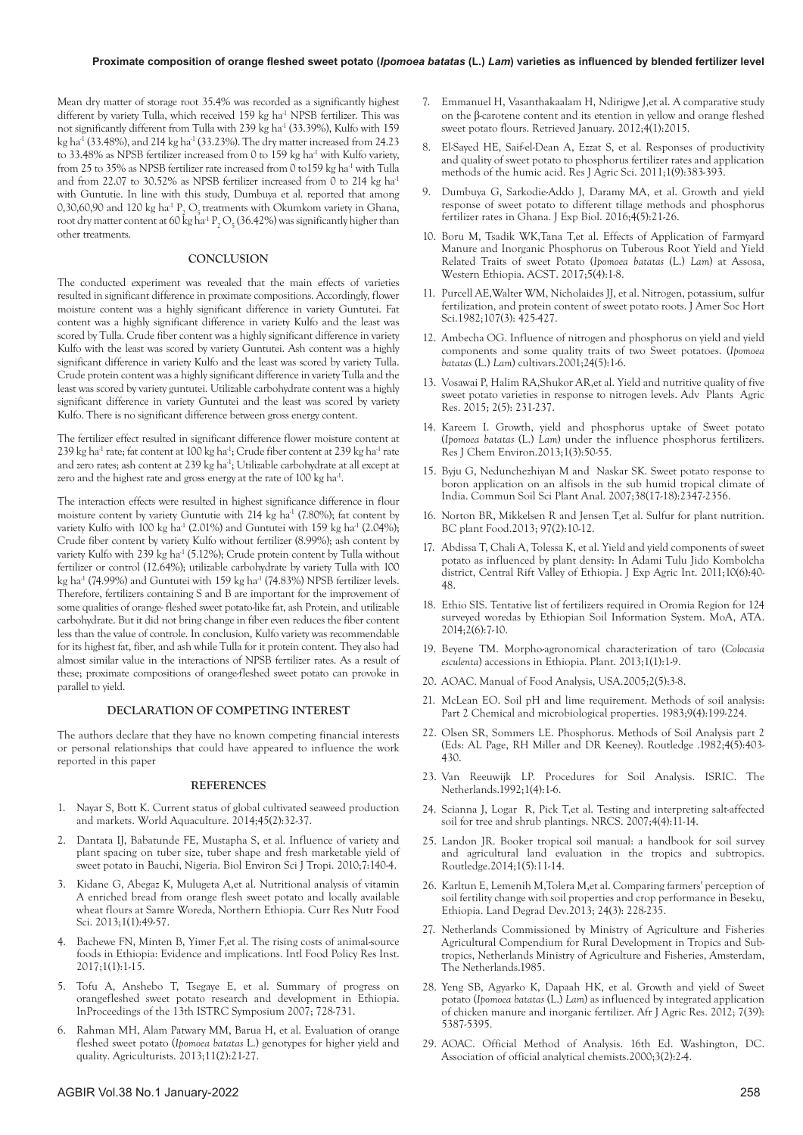Mean dry matter of storage root 35.4% was recorded as a significantly highest different by variety Tulla, which received 159 kg ha<sup>-1</sup> NPSB fertilizer. This was not significantly different from Tulla with 239 kg ha<sup>-1</sup> (33.39%), Kulfo with 159 kg ha<sup>-1</sup> (33.48%), and 214 kg ha<sup>-1</sup> (33.23%). The dry matter increased from 24.23 to 33.48% as NPSB fertilizer increased from 0 to 159 kg ha<sup>-1</sup> with Kulfo variety, from 25 to 35% as NPSB fertilizer rate increased from 0 to 159 kg ha<sup>-1</sup> with Tulla and from 22.07 to 30.52% as NPSB fertilizer increased from 0 to 214 kg ha<sup>-1</sup> with Guntutie. In line with this study, Dumbuya et al. reported that among 0,30,60,90 and 120 kg ha<sup>-1</sup>  $P_2$  O<sub>5</sub> treatments with Okumkom variety in Ghana, root dry matter content at 60 kg ha<sup>-1</sup> P<sub>2</sub> O<sub>5</sub> (36.42%) was significantly higher than other treatments.

## **CONCLUSION**

The conducted experiment was revealed that the main effects of varieties resulted in significant difference in proximate compositions. Accordingly, flower moisture content was a highly significant difference in variety Guntutei. Fat content was a highly significant difference in variety Kulfo and the least was scored by Tulla. Crude fiber content was a highly significant difference in variety Kulfo with the least was scored by variety Guntutei. Ash content was a highly significant difference in variety Kulfo and the least was scored by variety Tulla. Crude protein content was a highly significant difference in variety Tulla and the least was scored by variety guntutei. Utilizable carbohydrate content was a highly significant difference in variety Guntutei and the least was scored by variety Kulfo. There is no significant difference between gross energy content.

The fertilizer effect resulted in significant difference flower moisture content at 239 kg ha<sup>-1</sup> rate; fat content at  $100 \text{ kg}$  ha<sup>-1</sup>; Crude fiber content at 239 kg ha<sup>-1</sup> rate and zero rates; ash content at 239 kg ha<sup>-1</sup>; Utilizable carbohydrate at all except at zero and the highest rate and gross energy at the rate of 100 kg ha<sup>-1</sup>.

The interaction effects were resulted in highest significance difference in flour moisture content by variety Guntutie with 214 kg ha<sup>-1</sup> (7.80%); fat content by variety Kulfo with 100 kg ha<sup>-1</sup> (2.01%) and Guntutei with 159 kg ha<sup>-1</sup> (2.04%); Crude fiber content by variety Kulfo without fertilizer (8.99%); ash content by variety Kulfo with 239 kg ha<sup>-1</sup> (5.12%); Crude protein content by Tulla without fertilizer or control (12.64%); utilizable carbohydrate by variety Tulla with 100 kg ha<sup>-1</sup> (74.99%) and Guntutei with 159 kg ha<sup>-1</sup> (74.83%) NPSB fertilizer levels. Therefore, fertilizers containing S and B are important for the improvement of some qualities of orange- fleshed sweet potato-like fat, ash Protein, and utilizable carbohydrate. But it did not bring change in fiber even reduces the fiber content less than the value of controle. In conclusion, Kulfo variety was recommendable for its highest fat, fiber, and ash while Tulla for it protein content. They also had almost similar value in the interactions of NPSB fertilizer rates. As a result of these; proximate compositions of orange-fleshed sweet potato can provoke in parallel to yield.

#### **DECLARATION OF COMPETING INTEREST**

The authors declare that they have no known competing financial interests or personal relationships that could have appeared to influence the work reported in this paper

#### **REFERENCES**

- 1. Nayar S, Bott K. [Current status of global cultivated seaweed production](https://www.researchgate.net/publication/265518689_Current_status_of_global_cultivated_seaweed_production_and_markets)  [and markets.](https://www.researchgate.net/publication/265518689_Current_status_of_global_cultivated_seaweed_production_and_markets) World Aquaculture. 2014;45(2):32-37.
- 2. Dantata IJ, Babatunde FE, Mustapha S, et al. Influence of variety and plant spacing on tuber size, tuber shape and fresh marketable yield of sweet potato in Bauchi, Nigeria. Biol Environ Sci J Tropi. 2010;7:140-4.
- 3. Kidane G, Abegaz K, Mulugeta A,et al. [Nutritional analysis of vitamin](https://www.foodandnutritionjournal.org/volume1number1/nutritional-analysis-of-vitamin-a-enriched-bread-from-orange-flesh-sweet-potato-and-locally-available-wheat-flours-at-samre-woreda-northern-ethiopia/)  [A enriched bread from orange flesh sweet potato and locally available](https://www.foodandnutritionjournal.org/volume1number1/nutritional-analysis-of-vitamin-a-enriched-bread-from-orange-flesh-sweet-potato-and-locally-available-wheat-flours-at-samre-woreda-northern-ethiopia/)  [wheat flours at Samre Woreda, Northern Ethiopia.](https://www.foodandnutritionjournal.org/volume1number1/nutritional-analysis-of-vitamin-a-enriched-bread-from-orange-flesh-sweet-potato-and-locally-available-wheat-flours-at-samre-woreda-northern-ethiopia/) Curr Res Nutr Food Sci. 2013;1(1):49-57.
- 4. Bachewe FN, Minten B, Yimer F,et al. [The rising costs of animal-source](https://books.google.co.in/books?hl=en&lr=&id=ss8wDwAAQBAJ&oi=fnd&pg=PA1&ots=keQtfqH6sx&sig=tVlnt5yifLlbOartHh71oCaQgEA&redir_esc=y#v=onepage&q&f=false)  [foods in Ethiopia: Evidence and implications.](https://books.google.co.in/books?hl=en&lr=&id=ss8wDwAAQBAJ&oi=fnd&pg=PA1&ots=keQtfqH6sx&sig=tVlnt5yifLlbOartHh71oCaQgEA&redir_esc=y#v=onepage&q&f=false) Intl Food Policy Res Inst. 2017;1(1):1-15.
- 5. Tofu A, Anshebo T, Tsegaye E, et al. [Summary of progress on](http://www.istrc.org/images/Documents/Symposiums/Thirteenth/vitaa_assefa.pdf)  [orangefleshed sweet potato research and development in Ethiopia.](http://www.istrc.org/images/Documents/Symposiums/Thirteenth/vitaa_assefa.pdf)  InProceedings of the 13th ISTRC Symposium 2007; 728-731.
- 6. Rahman MH, Alam Patwary MM, Barua H, et al. [Evaluation of orange](https://cgspace.cgiar.org/bitstream/handle/10568/67146/CIP_79036.pdf?sequence=2)  fleshed sweet potato (*Ipomoea batatas* [L.\) genotypes for higher yield and](https://cgspace.cgiar.org/bitstream/handle/10568/67146/CIP_79036.pdf?sequence=2)  [quality.](https://cgspace.cgiar.org/bitstream/handle/10568/67146/CIP_79036.pdf?sequence=2) Agriculturists. 2013;11(2):21-27.
- 7. Emmanuel H, Vasanthakaalam H, Ndirigwe J,et al. [A comparative study](https://www.researchgate.net/publication/285170324_A_comparative_study_on_the_b-carotene_content_its_retention_in_yellow_and_orange_fleshed_sweet_potato_flours)  on the β[-carotene content and its etention in yellow and orange fleshed](https://www.researchgate.net/publication/285170324_A_comparative_study_on_the_b-carotene_content_its_retention_in_yellow_and_orange_fleshed_sweet_potato_flours) [sweet potato flours.](https://www.researchgate.net/publication/285170324_A_comparative_study_on_the_b-carotene_content_its_retention_in_yellow_and_orange_fleshed_sweet_potato_flours) Retrieved January. 2012;4(1):2015.
- 8. El-Sayed HE, Saif-el-Dean A, Ezzat S, et al. [Responses of productivity](https://www.cabdirect.org/cabdirect/abstract/20123357861)  [and quality of sweet potato to phosphorus fertilizer rates and application](https://www.cabdirect.org/cabdirect/abstract/20123357861) [methods of the humic acid.](https://www.cabdirect.org/cabdirect/abstract/20123357861) Res J Agric Sci. 2011;1(9):383-393.
- 9. Dumbuya G, Sarkodie-Addo J, Daramy MA, et al. [Growth and yield](https://d1wqtxts1xzle7.cloudfront.net/48963495/GROWTH_AND_YIELD_RESPONSE_OF_SWEET_POTATO_TO_DIFFERENT_TILLAGE_METHODS_AND_PHOSPHORUS_FERTILIZER_RATES_IN_GHANA-with-cover-page-v2.pdf?Expires=1644557458&Signature=Ut558CEXmOTnbNZlWkO6ARejGsjD7Du03XQmmKepI57DbOj5XPixXxBoZOQ2~m63hMbEwAXhU7ThKPLuq90OernlP3zLKcU2L61kAC4cNBUMpvI~zaM9T2umgJZlxh7WMrT3ceu4SSOZ1v~ZvCsruVDTMffbK8JWTzzFk7XgamZGIgMIgrpUD7wueUL3Xa4BLI-lywg5SHMeZGx4Vlak4b8TW-dkGA9lTieyUhJoODi94zQ1Y7l32azZF8VbevjBNK69FZUEtwG0k16onNdPzzbRuWrBWBH5PDgBN4RfP5485XKsfhyFtLGG5Nbc91ZdXpCLegtsU5~flyMkhfSjvg__&Key-Pair-Id=APKAJLOHF5GGSLRBV4ZA)  [response of sweet potato to different tillage methods and phosphorus](https://d1wqtxts1xzle7.cloudfront.net/48963495/GROWTH_AND_YIELD_RESPONSE_OF_SWEET_POTATO_TO_DIFFERENT_TILLAGE_METHODS_AND_PHOSPHORUS_FERTILIZER_RATES_IN_GHANA-with-cover-page-v2.pdf?Expires=1644557458&Signature=Ut558CEXmOTnbNZlWkO6ARejGsjD7Du03XQmmKepI57DbOj5XPixXxBoZOQ2~m63hMbEwAXhU7ThKPLuq90OernlP3zLKcU2L61kAC4cNBUMpvI~zaM9T2umgJZlxh7WMrT3ceu4SSOZ1v~ZvCsruVDTMffbK8JWTzzFk7XgamZGIgMIgrpUD7wueUL3Xa4BLI-lywg5SHMeZGx4Vlak4b8TW-dkGA9lTieyUhJoODi94zQ1Y7l32azZF8VbevjBNK69FZUEtwG0k16onNdPzzbRuWrBWBH5PDgBN4RfP5485XKsfhyFtLGG5Nbc91ZdXpCLegtsU5~flyMkhfSjvg__&Key-Pair-Id=APKAJLOHF5GGSLRBV4ZA)  [fertilizer rates in Ghana.](https://d1wqtxts1xzle7.cloudfront.net/48963495/GROWTH_AND_YIELD_RESPONSE_OF_SWEET_POTATO_TO_DIFFERENT_TILLAGE_METHODS_AND_PHOSPHORUS_FERTILIZER_RATES_IN_GHANA-with-cover-page-v2.pdf?Expires=1644557458&Signature=Ut558CEXmOTnbNZlWkO6ARejGsjD7Du03XQmmKepI57DbOj5XPixXxBoZOQ2~m63hMbEwAXhU7ThKPLuq90OernlP3zLKcU2L61kAC4cNBUMpvI~zaM9T2umgJZlxh7WMrT3ceu4SSOZ1v~ZvCsruVDTMffbK8JWTzzFk7XgamZGIgMIgrpUD7wueUL3Xa4BLI-lywg5SHMeZGx4Vlak4b8TW-dkGA9lTieyUhJoODi94zQ1Y7l32azZF8VbevjBNK69FZUEtwG0k16onNdPzzbRuWrBWBH5PDgBN4RfP5485XKsfhyFtLGG5Nbc91ZdXpCLegtsU5~flyMkhfSjvg__&Key-Pair-Id=APKAJLOHF5GGSLRBV4ZA) J Exp Biol.  $2016; \tilde{4}(5):21-26$ .
- 10. Boru M, Tsadik WK,Tana T,et al. [Effects of Application of Farmyard](https://www.researchgate.net/publication/319898636_Effects_of_Application_of_Farmyard_Manure_and_Inorganic_Phosphorus_on_Tuberous_Root_Yield_and_Yield_Related_Traits_of_Sweet_Potato_Ipomoea_batatas_L_Lam_at_Assosa_Western_Ethiopia)  [Manure and Inorganic Phosphorus on Tuberous Root Yield and Yield](https://www.researchgate.net/publication/319898636_Effects_of_Application_of_Farmyard_Manure_and_Inorganic_Phosphorus_on_Tuberous_Root_Yield_and_Yield_Related_Traits_of_Sweet_Potato_Ipomoea_batatas_L_Lam_at_Assosa_Western_Ethiopia)  [Related Traits of sweet Potato \(](https://www.researchgate.net/publication/319898636_Effects_of_Application_of_Farmyard_Manure_and_Inorganic_Phosphorus_on_Tuberous_Root_Yield_and_Yield_Related_Traits_of_Sweet_Potato_Ipomoea_batatas_L_Lam_at_Assosa_Western_Ethiopia)*Ipomoea batatas* (L.) *Lam*) at Assosa, [Western Ethiopia. ACST](https://www.researchgate.net/publication/319898636_Effects_of_Application_of_Farmyard_Manure_and_Inorganic_Phosphorus_on_Tuberous_Root_Yield_and_Yield_Related_Traits_of_Sweet_Potato_Ipomoea_batatas_L_Lam_at_Assosa_Western_Ethiopia). 2017;5(4):1-8.
- 11. Purcell AE,Walter WM, Nicholaides JJ, et al. [Nitrogen, potassium, sulfur](https://www.ars.usda.gov/ARSUserFiles/60701000/Sweetpotato Publications/s59.pdf)  [fertilization, and protein content of sweet potato roots.](https://www.ars.usda.gov/ARSUserFiles/60701000/Sweetpotato Publications/s59.pdf) J Amer Soc Hort Sci.1982;107(3): 425-427.
- 12. Ambecha OG. Influence of nitrogen and phosphorus on yield and yield components and some quality traits of two Sweet potatoes. (*Ipomoea batatas* (L.) *Lam*) cultivars.2001;24(5):1-6.
- 13. Vosawai P, Halim RA,Shukor AR,et al. [Yield and nutritive quality of five](https://medcraveonline.com/APAR/yield-and-nutritive-quality-of-five-sweet-potato-varieties-in-response-to-nitrogen-levels.html)  [sweet potato varieties in response to nitrogen levels.](https://medcraveonline.com/APAR/yield-and-nutritive-quality-of-five-sweet-potato-varieties-in-response-to-nitrogen-levels.html) Adv Plants Agric Res. 2015; 2(5): 231-237.
- 14. Kareem I. [Growth, yield and phosphorus uptake of Sweet potato](http://www.aelsindia.com/Vol1august_2013/9.pdf)  (*Ipomoea batatas* (L.) *Lam*[\) under the influence phosphorus fertilizers.](http://www.aelsindia.com/Vol1august_2013/9.pdf)  Res J Chem Environ.2013;1(3):50-55.
- 15. Byju G, Nedunchezhiyan M and Naskar SK[. Sweet potato response to](https://www.tandfonline.com/doi/abs/10.1080/00103620701588460)  [boron application on an alfisols in the sub humid tropical climate of](https://www.tandfonline.com/doi/abs/10.1080/00103620701588460)  [India.](https://www.tandfonline.com/doi/abs/10.1080/00103620701588460) Commun Soil Sci Plant Anal. 2007;38(17-18):2347-2356.
- 16. Norton BR, Mikkelsen R and Jensen T,et al. Sulfur for plant nutrition. BC plant Food.2013; 97(2):10-12.
- 17. Abdissa T, Chali A, Tolessa K, et al. Yield and yield components of sweet potato as influenced by plant density: In Adami Tulu Jido Kombolcha district, Central Rift Valley of Ethiopia. J Exp Agric Int. 2011;10(6):40- 48.
- 18. Ethio SIS. Tentative list of fertilizers required in Oromia Region for 124 surveyed woredas by Ethiopian Soil Information System. MoA, ATA. 2014;2(6):7-10.
- 19. Beyene TM. [Morpho-agronomical characterization of taro \(](https://www.researchgate.net/profile/Tewodros-Mulualem-Beyene/publication/270706818_Morpho-Agronomical_Characterization_of_Taro_Colocasia_esculenta_Accessions_in_Ethiopia/links/560ac14308ae4d86bb149a69/Morpho-Agronomical-Characterization-of-Taro-Colocasia-esculenta-Accessions-in-Ethiopia.pdf)*Colocasia esculenta*[\) accessions in Ethiopia.](https://www.researchgate.net/profile/Tewodros-Mulualem-Beyene/publication/270706818_Morpho-Agronomical_Characterization_of_Taro_Colocasia_esculenta_Accessions_in_Ethiopia/links/560ac14308ae4d86bb149a69/Morpho-Agronomical-Characterization-of-Taro-Colocasia-esculenta-Accessions-in-Ethiopia.pdf) Plant. 2013;1(1):1-9.
- 20. AOAC. Manual of Food Analysis, USA.2005;2(5):3-8.
- 21. McLean EO. [Soil pH and lime requirement. Methods of soil analysis:](https://acsess.onlinelibrary.wiley.com/doi/abs/10.2134/agronmonogr9.2.2ed.c12)  [Part 2 Chemical and microbiological properties.](https://acsess.onlinelibrary.wiley.com/doi/abs/10.2134/agronmonogr9.2.2ed.c12) 1983;9(4):199-224.
- 22. Olsen SR, Sommers LE. [Phosphorus. Methods of Soil Analysis part 2](https://acsess.onlinelibrary.wiley.com/doi/pdf/10.2134/agronmonogr9.2.2ed.frontmatter)  [\(Eds: AL Page, RH Miller and DR Keeney\).](https://acsess.onlinelibrary.wiley.com/doi/pdf/10.2134/agronmonogr9.2.2ed.frontmatter) Routledge .1982;4(5):403- 430.
- 23. Van Reeuwijk LP. Procedures for Soil Analysis. ISRIC. The Netherlands.1992;1(4):1-6.
- 24. Scianna J, Logar R, Pick T, et al. Testing and interpreting salt-affected soil for tree and shrub plantings. NRCS. 2007;4(4):11-14.
- 25. Landon JR. [Booker tropical soil manual: a handbook for soil survey](https://www.taylorfrancis.com/books/mono/10.4324/9781315846842/booker-tropical-soil-manual-landon)  [and agricultural land evaluation in the tropics and subtropics.](https://www.taylorfrancis.com/books/mono/10.4324/9781315846842/booker-tropical-soil-manual-landon)  Routledge.2014;1(5):11-14.
- 26. Karltun E, Lemenih M,Tolera M,et al. [Comparing farmers' perception of](https://onlinelibrary.wiley.com/doi/abs/10.1002/ldr.1118)  [soil fertility change with soil properties and crop performance in Beseku,](https://onlinelibrary.wiley.com/doi/abs/10.1002/ldr.1118) [Ethiopia.](https://onlinelibrary.wiley.com/doi/abs/10.1002/ldr.1118) Land Degrad Dev.2013; 24(3): 228-235.
- 27. Netherlands Commissioned by Ministry of Agriculture and Fisheries Agricultural Compendium for Rural Development in Tropics and Subtropics, Netherlands Ministry of Agriculture and Fisheries, Amsterdam, The Netherlands.1985.
- 28. Yeng SB, Agyarko K, Dapaah HK, et al. [Growth and yield of Sweet](https://www.phytojournal.com/archives/2017/vol6issue6/PartK/6-6-121-333.pdf) potato (*Ipomoea batatas* (L.) *Lam*[\) as influenced by integrated application](https://www.phytojournal.com/archives/2017/vol6issue6/PartK/6-6-121-333.pdf) [of chicken manure and inorganic fertilizer.](https://www.phytojournal.com/archives/2017/vol6issue6/PartK/6-6-121-333.pdf) Afr J Agric Res. 2012; 7(39): 5387-5395.
- 29. AOAC. Official Method of Analysis. 16th Ed. Washington, DC. Association of official analytical chemists.2000;3(2):2-4.